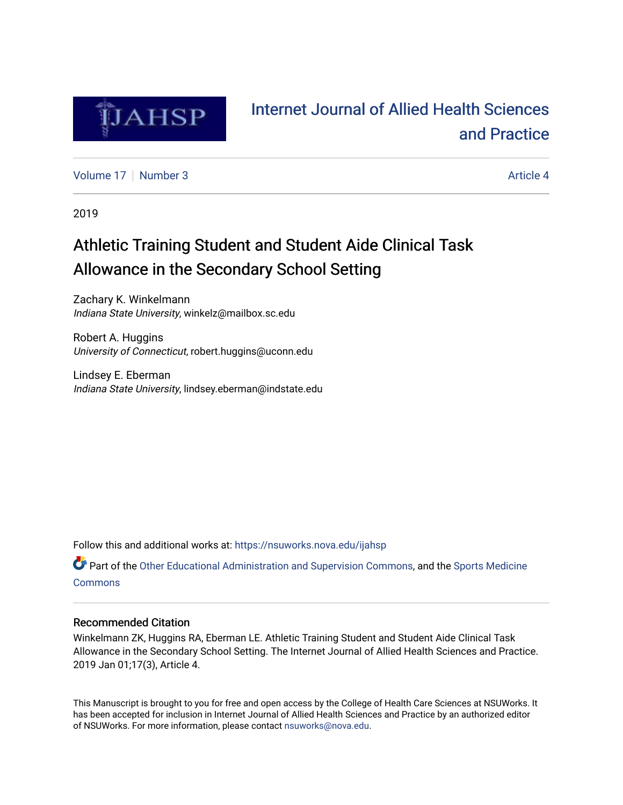

# [Internet Journal of Allied Health Sciences](https://nsuworks.nova.edu/ijahsp)  [and Practice](https://nsuworks.nova.edu/ijahsp)

[Volume 17](https://nsuworks.nova.edu/ijahsp/vol17) | [Number 3](https://nsuworks.nova.edu/ijahsp/vol17/iss3) Article 4

2019

# Athletic Training Student and Student Aide Clinical Task Allowance in the Secondary School Setting

Zachary K. Winkelmann Indiana State University, winkelz@mailbox.sc.edu

Robert A. Huggins University of Connecticut, robert.huggins@uconn.edu

Lindsey E. Eberman Indiana State University, lindsey.eberman@indstate.edu

Follow this and additional works at: [https://nsuworks.nova.edu/ijahsp](https://nsuworks.nova.edu/ijahsp?utm_source=nsuworks.nova.edu%2Fijahsp%2Fvol17%2Fiss3%2F4&utm_medium=PDF&utm_campaign=PDFCoverPages) 

**P** Part of the [Other Educational Administration and Supervision Commons](http://network.bepress.com/hgg/discipline/794?utm_source=nsuworks.nova.edu%2Fijahsp%2Fvol17%2Fiss3%2F4&utm_medium=PDF&utm_campaign=PDFCoverPages), and the [Sports Medicine](http://network.bepress.com/hgg/discipline/1331?utm_source=nsuworks.nova.edu%2Fijahsp%2Fvol17%2Fiss3%2F4&utm_medium=PDF&utm_campaign=PDFCoverPages) **[Commons](http://network.bepress.com/hgg/discipline/1331?utm_source=nsuworks.nova.edu%2Fijahsp%2Fvol17%2Fiss3%2F4&utm_medium=PDF&utm_campaign=PDFCoverPages)** 

## Recommended Citation

Winkelmann ZK, Huggins RA, Eberman LE. Athletic Training Student and Student Aide Clinical Task Allowance in the Secondary School Setting. The Internet Journal of Allied Health Sciences and Practice. 2019 Jan 01;17(3), Article 4.

This Manuscript is brought to you for free and open access by the College of Health Care Sciences at NSUWorks. It has been accepted for inclusion in Internet Journal of Allied Health Sciences and Practice by an authorized editor of NSUWorks. For more information, please contact [nsuworks@nova.edu.](mailto:nsuworks@nova.edu)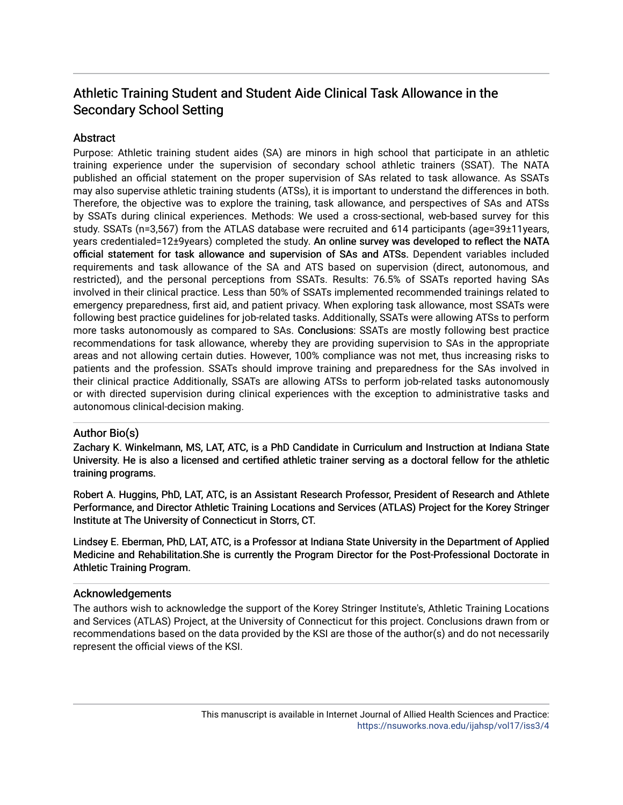## Athletic Training Student and Student Aide Clinical Task Allowance in the Secondary School Setting

## **Abstract**

Purpose: Athletic training student aides (SA) are minors in high school that participate in an athletic training experience under the supervision of secondary school athletic trainers (SSAT). The NATA published an official statement on the proper supervision of SAs related to task allowance. As SSATs may also supervise athletic training students (ATSs), it is important to understand the differences in both. Therefore, the objective was to explore the training, task allowance, and perspectives of SAs and ATSs by SSATs during clinical experiences. Methods: We used a cross-sectional, web-based survey for this study. SSATs (n=3,567) from the ATLAS database were recruited and 614 participants (age=39±11years, years credentialed=12±9years) completed the study. An online survey was developed to reflect the NATA official statement for task allowance and supervision of SAs and ATSs. Dependent variables included requirements and task allowance of the SA and ATS based on supervision (direct, autonomous, and restricted), and the personal perceptions from SSATs. Results: 76.5% of SSATs reported having SAs involved in their clinical practice. Less than 50% of SSATs implemented recommended trainings related to emergency preparedness, first aid, and patient privacy. When exploring task allowance, most SSATs were following best practice guidelines for job-related tasks. Additionally, SSATs were allowing ATSs to perform more tasks autonomously as compared to SAs. Conclusions: SSATs are mostly following best practice recommendations for task allowance, whereby they are providing supervision to SAs in the appropriate areas and not allowing certain duties. However, 100% compliance was not met, thus increasing risks to patients and the profession. SSATs should improve training and preparedness for the SAs involved in their clinical practice Additionally, SSATs are allowing ATSs to perform job-related tasks autonomously or with directed supervision during clinical experiences with the exception to administrative tasks and autonomous clinical-decision making.

## Author Bio(s)

Zachary K. Winkelmann, MS, LAT, ATC, is a PhD Candidate in Curriculum and Instruction at Indiana State University. He is also a licensed and certified athletic trainer serving as a doctoral fellow for the athletic training programs.

Robert A. Huggins, PhD, LAT, ATC, is an Assistant Research Professor, President of Research and Athlete Performance, and Director Athletic Training Locations and Services (ATLAS) Project for the Korey Stringer Institute at The University of Connecticut in Storrs, CT.

Lindsey E. Eberman, PhD, LAT, ATC, is a Professor at Indiana State University in the Department of Applied Medicine and Rehabilitation. She is currently the Program Director for the Post-Professional Doctorate in Athletic Training Program.

## Acknowledgements

The authors wish to acknowledge the support of the Korey Stringer Institute's, Athletic Training Locations and Services (ATLAS) Project, at the University of Connecticut for this project. Conclusions drawn from or recommendations based on the data provided by the KSI are those of the author(s) and do not necessarily represent the official views of the KSI.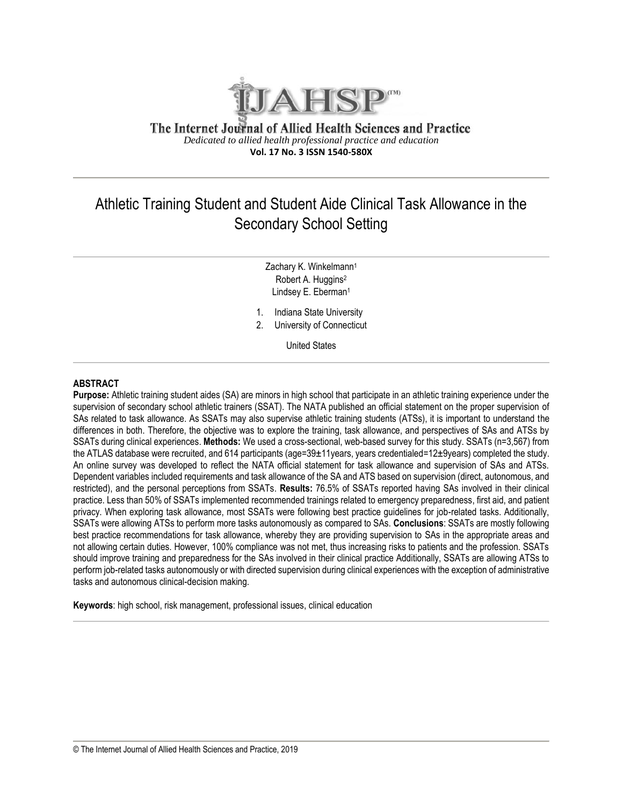

The Internet Journal of Allied Health Sciences and Practice *Dedicated to allied health professional practice and education* **Vol. 17 No. 3 ISSN 1540-580X**

## Athletic Training Student and Student Aide Clinical Task Allowance in the Secondary School Setting

Zachary K. Winkelmann<sup>1</sup> Robert A. Huggins<sup>2</sup> Lindsey E. Eberman<sup>1</sup>

1. Indiana State University

2. University of Connecticut

United States

#### **ABSTRACT**

**Purpose:** Athletic training student aides (SA) are minors in high school that participate in an athletic training experience under the supervision of secondary school athletic trainers (SSAT). The NATA published an official statement on the proper supervision of SAs related to task allowance. As SSATs may also supervise athletic training students (ATSs), it is important to understand the differences in both. Therefore, the objective was to explore the training, task allowance, and perspectives of SAs and ATSs by SSATs during clinical experiences. **Methods:** We used a cross-sectional, web-based survey for this study. SSATs (n=3,567) from the ATLAS database were recruited, and 614 participants (age=39±11years, years credentialed=12±9years) completed the study. An online survey was developed to reflect the NATA official statement for task allowance and supervision of SAs and ATSs. Dependent variables included requirements and task allowance of the SA and ATS based on supervision (direct, autonomous, and restricted), and the personal perceptions from SSATs. **Results:** 76.5% of SSATs reported having SAs involved in their clinical practice. Less than 50% of SSATs implemented recommended trainings related to emergency preparedness, first aid, and patient privacy. When exploring task allowance, most SSATs were following best practice guidelines for job-related tasks. Additionally, SSATs were allowing ATSs to perform more tasks autonomously as compared to SAs. **Conclusions**: SSATs are mostly following best practice recommendations for task allowance, whereby they are providing supervision to SAs in the appropriate areas and not allowing certain duties. However, 100% compliance was not met, thus increasing risks to patients and the profession. SSATs should improve training and preparedness for the SAs involved in their clinical practice Additionally, SSATs are allowing ATSs to perform job-related tasks autonomously or with directed supervision during clinical experiences with the exception of administrative tasks and autonomous clinical-decision making.

**Keywords**: high school, risk management, professional issues, clinical education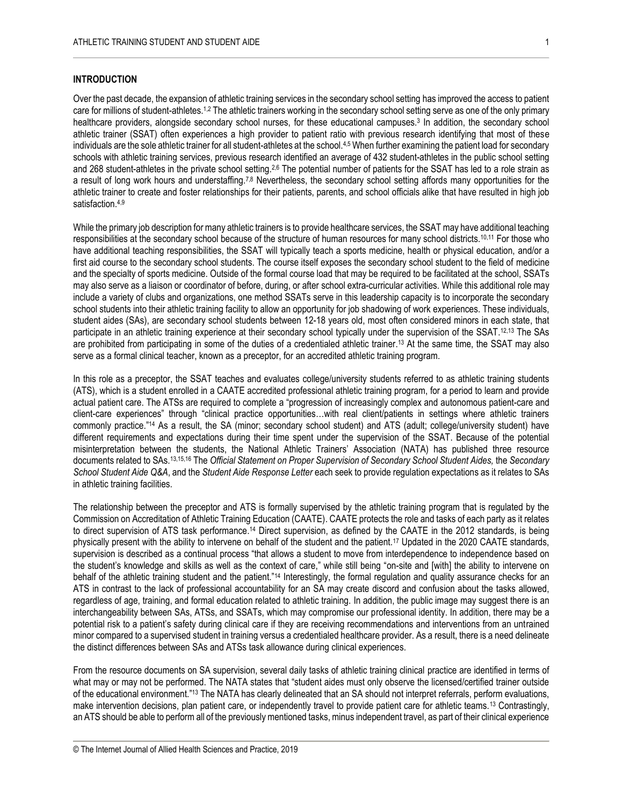#### **INTRODUCTION**

Over the past decade, the expansion of athletic training services in the secondary school setting has improved the access to patient care for millions of student-athletes.<sup>1,2</sup> The athletic trainers working in the secondary school setting serve as one of the only primary healthcare providers, alongside secondary school nurses, for these educational campuses.<sup>3</sup> In addition, the secondary school athletic trainer (SSAT) often experiences a high provider to patient ratio with previous research identifying that most of these individuals are the sole athletic trainer for all student-athletes at the school.<sup>4,5</sup> When further examining the patient load for secondary schools with athletic training services, previous research identified an average of 432 student-athletes in the public school setting and 268 student-athletes in the private school setting.<sup>2,6</sup> The potential number of patients for the SSAT has led to a role strain as a result of long work hours and understaffing.7,8 Nevertheless, the secondary school setting affords many opportunities for the athletic trainer to create and foster relationships for their patients, parents, and school officials alike that have resulted in high job satisfaction. 4,9

While the primary job description for many athletic trainers is to provide healthcare services, the SSAT may have additional teaching responsibilities at the secondary school because of the structure of human resources for many school districts.10,11 For those who have additional teaching responsibilities, the SSAT will typically teach a sports medicine, health or physical education, and/or a first aid course to the secondary school students. The course itself exposes the secondary school student to the field of medicine and the specialty of sports medicine. Outside of the formal course load that may be required to be facilitated at the school, SSATs may also serve as a liaison or coordinator of before, during, or after school extra-curricular activities. While this additional role may include a variety of clubs and organizations, one method SSATs serve in this leadership capacity is to incorporate the secondary school students into their athletic training facility to allow an opportunity for job shadowing of work experiences. These individuals, student aides (SAs), are secondary school students between 12-18 years old, most often considered minors in each state, that participate in an athletic training experience at their secondary school typically under the supervision of the SSAT.12,13 The SAs are prohibited from participating in some of the duties of a credentialed athletic trainer. <sup>13</sup> At the same time, the SSAT may also serve as a formal clinical teacher, known as a preceptor, for an accredited athletic training program.

In this role as a preceptor, the SSAT teaches and evaluates college/university students referred to as athletic training students (ATS), which is a student enrolled in a CAATE accredited professional athletic training program, for a period to learn and provide actual patient care. The ATSs are required to complete a "progression of increasingly complex and autonomous patient-care and client-care experiences" through "clinical practice opportunities…with real client/patients in settings where athletic trainers commonly practice." <sup>14</sup> As a result, the SA (minor; secondary school student) and ATS (adult; college/university student) have different requirements and expectations during their time spent under the supervision of the SSAT. Because of the potential misinterpretation between the students, the National Athletic Trainers' Association (NATA) has published three resource documents related to SAs.13,15,16 The *Official Statement on Proper Supervision of Secondary School Student Aides,* the *Secondary School Student Aide Q&A*, and the *Student Aide Response Letter* each seek to provide regulation expectations as it relates to SAs in athletic training facilities.

The relationship between the preceptor and ATS is formally supervised by the athletic training program that is regulated by the Commission on Accreditation of Athletic Training Education (CAATE). CAATE protects the role and tasks of each party as it relates to direct supervision of ATS task performance.<sup>14</sup> Direct supervision, as defined by the CAATE in the 2012 standards, is being physically present with the ability to intervene on behalf of the student and the patient.<sup>17</sup> Updated in the 2020 CAATE standards, supervision is described as a continual process "that allows a student to move from interdependence to independence based on the student's knowledge and skills as well as the context of care," while still being "on-site and [with] the ability to intervene on behalf of the athletic training student and the patient."<sup>14</sup> Interestingly, the formal regulation and quality assurance checks for an ATS in contrast to the lack of professional accountability for an SA may create discord and confusion about the tasks allowed, regardless of age, training, and formal education related to athletic training. In addition, the public image may suggest there is an interchangeability between SAs, ATSs, and SSATs, which may compromise our professional identity. In addition, there may be a potential risk to a patient's safety during clinical care if they are receiving recommendations and interventions from an untrained minor compared to a supervised student in training versus a credentialed healthcare provider. As a result, there is a need delineate the distinct differences between SAs and ATSs task allowance during clinical experiences.

From the resource documents on SA supervision, several daily tasks of athletic training clinical practice are identified in terms of what may or may not be performed. The NATA states that "student aides must only observe the licensed/certified trainer outside of the educational environment."<sup>13</sup> The NATA has clearly delineated that an SA should not interpret referrals, perform evaluations, make intervention decisions, plan patient care, or independently travel to provide patient care for athletic teams.<sup>13</sup> Contrastingly, an ATS should be able to perform all of the previously mentioned tasks, minus independent travel, as part of their clinical experience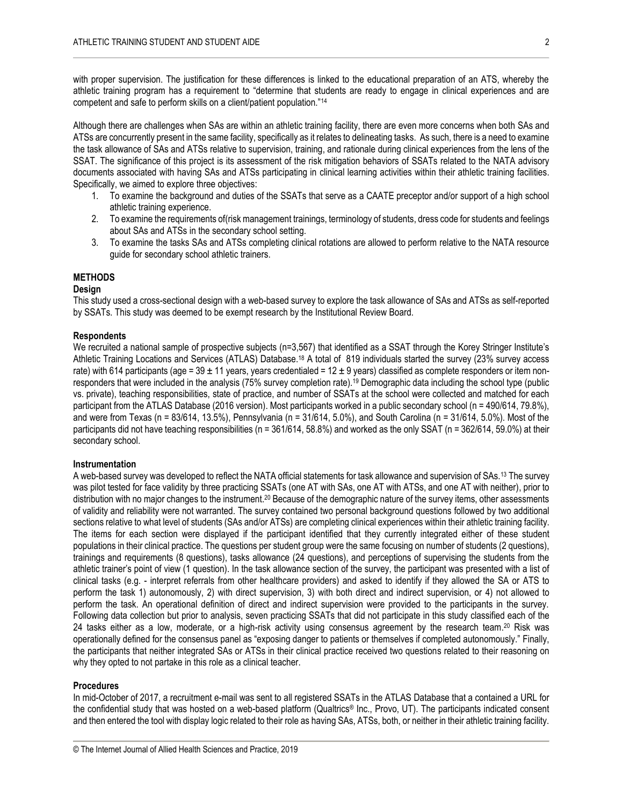with proper supervision. The justification for these differences is linked to the educational preparation of an ATS, whereby the athletic training program has a requirement to "determine that students are ready to engage in clinical experiences and are competent and safe to perform skills on a client/patient population."<sup>14</sup>

Although there are challenges when SAs are within an athletic training facility, there are even more concerns when both SAs and ATSs are concurrently present in the same facility, specifically as it relates to delineating tasks. As such, there is a need to examine the task allowance of SAs and ATSs relative to supervision, training, and rationale during clinical experiences from the lens of the SSAT. The significance of this project is its assessment of the risk mitigation behaviors of SSATs related to the NATA advisory documents associated with having SAs and ATSs participating in clinical learning activities within their athletic training facilities. Specifically, we aimed to explore three objectives:

- 1. To examine the background and duties of the SSATs that serve as a CAATE preceptor and/or support of a high school athletic training experience.
- 2. To examine the requirements of(risk management trainings, terminology of students, dress code for students and feelings about SAs and ATSs in the secondary school setting.
- 3. To examine the tasks SAs and ATSs completing clinical rotations are allowed to perform relative to the NATA resource guide for secondary school athletic trainers.

#### **METHODS**

#### **Design**

This study used a cross-sectional design with a web-based survey to explore the task allowance of SAs and ATSs as self-reported by SSATs. This study was deemed to be exempt research by the Institutional Review Board.

#### **Respondents**

We recruited a national sample of prospective subjects (n=3,567) that identified as a SSAT through the Korey Stringer Institute's Athletic Training Locations and Services (ATLAS) Database.<sup>18</sup> A total of 819 individuals started the survey (23% survey access rate) with 614 participants (age =  $39 \pm 11$  years, years credentialed =  $12 \pm 9$  years) classified as complete responders or item nonresponders that were included in the analysis (75% survey completion rate).<sup>19</sup> Demographic data including the school type (public vs. private), teaching responsibilities, state of practice, and number of SSATs at the school were collected and matched for each participant from the ATLAS Database (2016 version). Most participants worked in a public secondary school (n = 490/614, 79.8%), and were from Texas (n = 83/614, 13.5%), Pennsylvania (n = 31/614, 5.0%), and South Carolina (n = 31/614, 5.0%). Most of the participants did not have teaching responsibilities ( $n = 361/614$ , 58.8%) and worked as the only SSAT ( $n = 362/614$ , 59.0%) at their secondary school.

#### **Instrumentation**

A web-based survey was developed to reflect the NATA official statements for task allowance and supervision of SAs.<sup>13</sup> The survey was pilot tested for face validity by three practicing SSATs (one AT with SAs, one AT with ATSs, and one AT with neither), prior to distribution with no major changes to the instrument.<sup>20</sup> Because of the demographic nature of the survey items, other assessments of validity and reliability were not warranted. The survey contained two personal background questions followed by two additional sections relative to what level of students (SAs and/or ATSs) are completing clinical experiences within their athletic training facility. The items for each section were displayed if the participant identified that they currently integrated either of these student populations in their clinical practice. The questions per student group were the same focusing on number of students (2 questions), trainings and requirements (8 questions), tasks allowance (24 questions), and perceptions of supervising the students from the athletic trainer's point of view (1 question). In the task allowance section of the survey, the participant was presented with a list of clinical tasks (e.g. - interpret referrals from other healthcare providers) and asked to identify if they allowed the SA or ATS to perform the task 1) autonomously, 2) with direct supervision, 3) with both direct and indirect supervision, or 4) not allowed to perform the task. An operational definition of direct and indirect supervision were provided to the participants in the survey. Following data collection but prior to analysis, seven practicing SSATs that did not participate in this study classified each of the 24 tasks either as a low, moderate, or a high-risk activity using consensus agreement by the research team.<sup>20</sup> Risk was operationally defined for the consensus panel as "exposing danger to patients or themselves if completed autonomously." Finally, the participants that neither integrated SAs or ATSs in their clinical practice received two questions related to their reasoning on why they opted to not partake in this role as a clinical teacher.

#### **Procedures**

In mid-October of 2017, a recruitment e-mail was sent to all registered SSATs in the ATLAS Database that a contained a URL for the confidential study that was hosted on a web-based platform (Qualtrics® Inc., Provo, UT). The participants indicated consent and then entered the tool with display logic related to their role as having SAs, ATSs, both, or neither in their athletic training facility.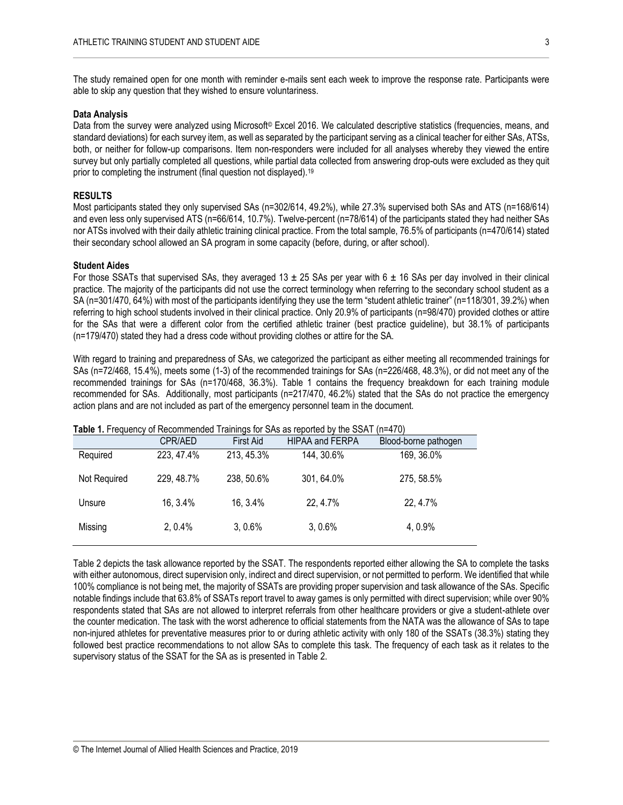The study remained open for one month with reminder e-mails sent each week to improve the response rate. Participants were able to skip any question that they wished to ensure voluntariness.

#### **Data Analysis**

Data from the survey were analyzed using Microsoft© Excel 2016. We calculated descriptive statistics (frequencies, means, and standard deviations) for each survey item, as well as separated by the participant serving as a clinical teacher for either SAs, ATSs, both, or neither for follow-up comparisons. Item non-responders were included for all analyses whereby they viewed the entire survey but only partially completed all questions, while partial data collected from answering drop-outs were excluded as they quit prior to completing the instrument (final question not displayed).<sup>19</sup>

#### **RESULTS**

Most participants stated they only supervised SAs (n=302/614, 49.2%), while 27.3% supervised both SAs and ATS (n=168/614) and even less only supervised ATS (n=66/614, 10.7%). Twelve-percent (n=78/614) of the participants stated they had neither SAs nor ATSs involved with their daily athletic training clinical practice. From the total sample, 76.5% of participants (n=470/614) stated their secondary school allowed an SA program in some capacity (before, during, or after school).

#### **Student Aides**

For those SSATs that supervised SAs, they averaged 13  $\pm$  25 SAs per year with 6  $\pm$  16 SAs per day involved in their clinical practice. The majority of the participants did not use the correct terminology when referring to the secondary school student as a SA (n=301/470, 64%) with most of the participants identifying they use the term "student athletic trainer" (n=118/301, 39.2%) when referring to high school students involved in their clinical practice. Only 20.9% of participants (n=98/470) provided clothes or attire for the SAs that were a different color from the certified athletic trainer (best practice guideline), but 38.1% of participants (n=179/470) stated they had a dress code without providing clothes or attire for the SA.

With regard to training and preparedness of SAs, we categorized the participant as either meeting all recommended trainings for SAs (n=72/468, 15.4%), meets some (1-3) of the recommended trainings for SAs (n=226/468, 48.3%), or did not meet any of the recommended trainings for SAs (n=170/468, 36.3%). Table 1 contains the frequency breakdown for each training module recommended for SAs. Additionally, most participants (n=217/470, 46.2%) stated that the SAs do not practice the emergency action plans and are not included as part of the emergency personnel team in the document.

|              |            |                  | <b>Table 1.</b> Frequency of Recommended Trainings for SAS as reported by the SSAT | $(11=4/0)$           |  |
|--------------|------------|------------------|------------------------------------------------------------------------------------|----------------------|--|
|              | CPR/AED    | <b>First Aid</b> | <b>HIPAA and FERPA</b>                                                             | Blood-borne pathogen |  |
| Required     | 223, 47.4% | 213, 45.3%       | 144, 30.6%                                                                         | 169, 36.0%           |  |
| Not Required | 229, 48.7% | 238, 50.6%       | 301, 64.0%                                                                         | 275, 58.5%           |  |
| Unsure       | 16, 3.4%   | 16, 3.4%         | 22, 4.7%                                                                           | 22, 4.7%             |  |
| Missing      | 2,0.4%     | 3,0.6%           | 3,0.6%                                                                             | 4, 0.9%              |  |
|              |            |                  |                                                                                    |                      |  |

#### **Table 1.** Frequency of Recommended Trainings for SAs as reported by the SSAT (n=470)

Table 2 depicts the task allowance reported by the SSAT. The respondents reported either allowing the SA to complete the tasks with either autonomous, direct supervision only, indirect and direct supervision, or not permitted to perform. We identified that while 100% compliance is not being met, the majority of SSATs are providing proper supervision and task allowance of the SAs. Specific notable findings include that 63.8% of SSATs report travel to away games is only permitted with direct supervision; while over 90% respondents stated that SAs are not allowed to interpret referrals from other healthcare providers or give a student-athlete over the counter medication. The task with the worst adherence to official statements from the NATA was the allowance of SAs to tape non-injured athletes for preventative measures prior to or during athletic activity with only 180 of the SSATs (38.3%) stating they followed best practice recommendations to not allow SAs to complete this task. The frequency of each task as it relates to the supervisory status of the SSAT for the SA as is presented in Table 2.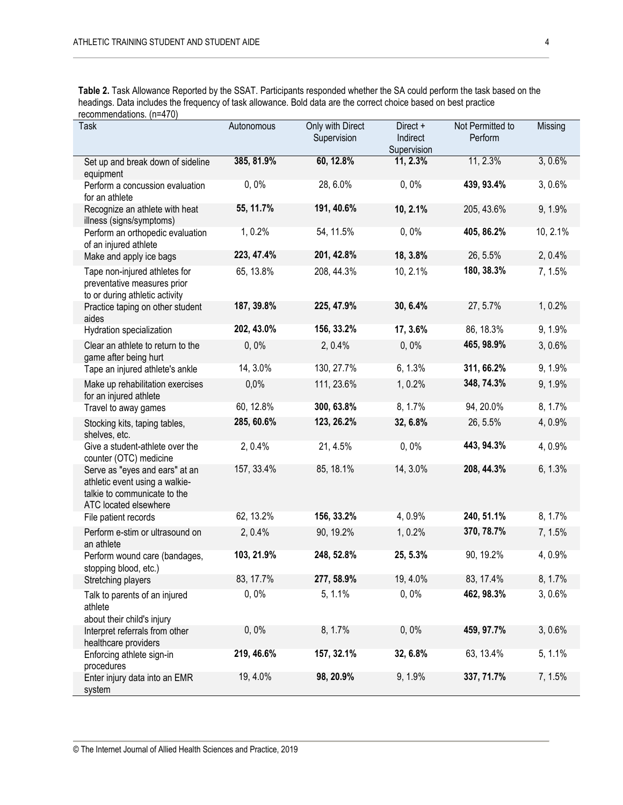**Table 2.** Task Allowance Reported by the SSAT. Participants responded whether the SA could perform the task based on the headings. Data includes the frequency of task allowance. Bold data are the correct choice based on best practice recommendations. (n=470)

| <b>Task</b>                                                                                                               | Autonomous | Only with Direct<br>Supervision | Direct +<br>Indirect<br>Supervision | Not Permitted to<br>Perform | Missing  |
|---------------------------------------------------------------------------------------------------------------------------|------------|---------------------------------|-------------------------------------|-----------------------------|----------|
| Set up and break down of sideline<br>equipment                                                                            | 385, 81.9% | 60, 12.8%                       | 11, 2.3%                            | 11, 2.3%                    | 3,0.6%   |
| Perform a concussion evaluation<br>for an athlete                                                                         | 0,0%       | 28, 6.0%                        | 0,0%                                | 439, 93.4%                  | 3, 0.6%  |
| Recognize an athlete with heat<br>illness (signs/symptoms)                                                                | 55, 11.7%  | 191, 40.6%                      | 10, 2.1%                            | 205, 43.6%                  | 9, 1.9%  |
| Perform an orthopedic evaluation<br>of an injured athlete                                                                 | 1, 0.2%    | 54, 11.5%                       | 0,0%                                | 405, 86.2%                  | 10, 2.1% |
| Make and apply ice bags                                                                                                   | 223, 47.4% | 201, 42.8%                      | 18, 3.8%                            | 26, 5.5%                    | 2, 0.4%  |
| Tape non-injured athletes for<br>preventative measures prior<br>to or during athletic activity                            | 65, 13.8%  | 208, 44.3%                      | 10, 2.1%                            | 180, 38.3%                  | 7, 1.5%  |
| Practice taping on other student<br>aides                                                                                 | 187, 39.8% | 225, 47.9%                      | 30, 6.4%                            | 27, 5.7%                    | 1, 0.2%  |
| Hydration specialization                                                                                                  | 202, 43.0% | 156, 33.2%                      | 17, 3.6%                            | 86, 18.3%                   | 9, 1.9%  |
| Clear an athlete to return to the<br>game after being hurt                                                                | 0,0%       | 2, 0.4%                         | $0, 0\%$                            | 465, 98.9%                  | 3, 0.6%  |
| Tape an injured athlete's ankle                                                                                           | 14, 3.0%   | 130, 27.7%                      | 6, 1.3%                             | 311, 66.2%                  | 9, 1.9%  |
| Make up rehabilitation exercises<br>for an injured athlete                                                                | 0,0%       | 111, 23.6%                      | 1, 0.2%                             | 348, 74.3%                  | 9, 1.9%  |
| Travel to away games                                                                                                      | 60, 12.8%  | 300, 63.8%                      | 8, 1.7%                             | 94, 20.0%                   | 8, 1.7%  |
| Stocking kits, taping tables,<br>shelves, etc.                                                                            | 285, 60.6% | 123, 26.2%                      | 32, 6.8%                            | 26, 5.5%                    | 4, 0.9%  |
| Give a student-athlete over the<br>counter (OTC) medicine                                                                 | 2, 0.4%    | 21, 4.5%                        | 0,0%                                | 443, 94.3%                  | 4,0.9%   |
| Serve as "eyes and ears" at an<br>athletic event using a walkie-<br>talkie to communicate to the<br>ATC located elsewhere | 157, 33.4% | 85, 18.1%                       | 14, 3.0%                            | 208, 44.3%                  | 6, 1.3%  |
| File patient records                                                                                                      | 62, 13.2%  | 156, 33.2%                      | 4, 0.9%                             | 240, 51.1%                  | 8, 1.7%  |
| Perform e-stim or ultrasound on<br>an athlete                                                                             | 2, 0.4%    | 90, 19.2%                       | 1, 0.2%                             | 370, 78.7%                  | 7, 1.5%  |
| Perform wound care (bandages,<br>stopping blood, etc.)                                                                    | 103, 21.9% | 248, 52.8%                      | 25, 5.3%                            | 90, 19.2%                   | 4, 0.9%  |
| Stretching players                                                                                                        | 83, 17.7%  | 277, 58.9%                      | 19, 4.0%                            | 83, 17.4%                   | 8, 1.7%  |
| Talk to parents of an injured<br>athlete<br>about their child's injury                                                    | 0,0%       | 5, 1.1%                         | 0,0%                                | 462, 98.3%                  | 3,0.6%   |
| Interpret referrals from other<br>healthcare providers                                                                    | $0, 0\%$   | 8, 1.7%                         | 0,0%                                | 459, 97.7%                  | 3,0.6%   |
| Enforcing athlete sign-in<br>procedures                                                                                   | 219, 46.6% | 157, 32.1%                      | 32, 6.8%                            | 63, 13.4%                   | 5, 1.1%  |
| Enter injury data into an EMR<br>system                                                                                   | 19, 4.0%   | 98, 20.9%                       | 9, 1.9%                             | 337, 71.7%                  | 7, 1.5%  |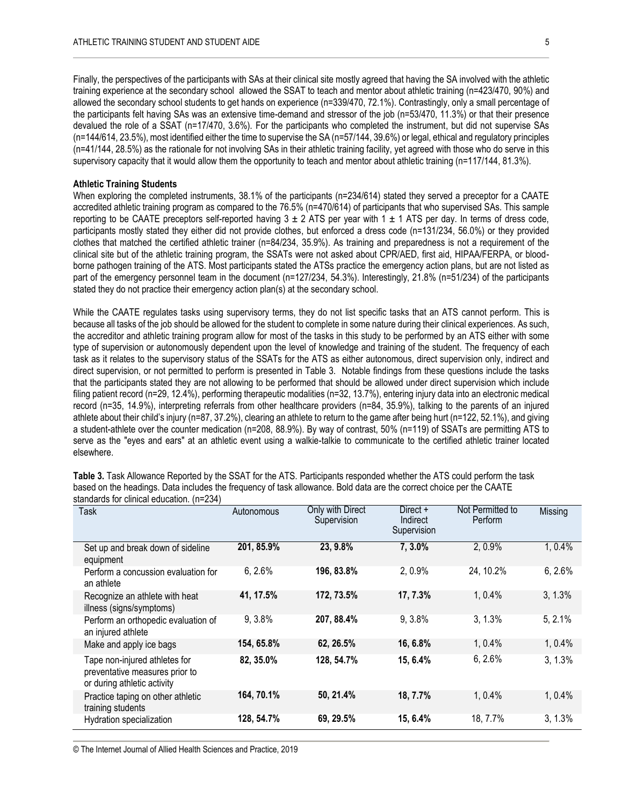Finally, the perspectives of the participants with SAs at their clinical site mostly agreed that having the SA involved with the athletic training experience at the secondary school allowed the SSAT to teach and mentor about athletic training (n=423/470, 90%) and allowed the secondary school students to get hands on experience (n=339/470, 72.1%). Contrastingly, only a small percentage of the participants felt having SAs was an extensive time-demand and stressor of the job (n=53/470, 11.3%) or that their presence devalued the role of a SSAT (n=17/470, 3.6%). For the participants who completed the instrument, but did not supervise SAs (n=144/614, 23.5%), most identified either the time to supervise the SA (n=57/144, 39.6%) or legal, ethical and regulatory principles (n=41/144, 28.5%) as the rationale for not involving SAs in their athletic training facility, yet agreed with those who do serve in this supervisory capacity that it would allow them the opportunity to teach and mentor about athletic training (n=117/144, 81.3%).

#### **Athletic Training Students**

When exploring the completed instruments, 38.1% of the participants (n=234/614) stated they served a preceptor for a CAATE accredited athletic training program as compared to the 76.5% (n=470/614) of participants that who supervised SAs. This sample reporting to be CAATE preceptors self-reported having  $3 \pm 2$  ATS per year with  $1 \pm 1$  ATS per day. In terms of dress code, participants mostly stated they either did not provide clothes, but enforced a dress code (n=131/234, 56.0%) or they provided clothes that matched the certified athletic trainer (n=84/234, 35.9%). As training and preparedness is not a requirement of the clinical site but of the athletic training program, the SSATs were not asked about CPR/AED, first aid, HIPAA/FERPA, or bloodborne pathogen training of the ATS. Most participants stated the ATSs practice the emergency action plans, but are not listed as part of the emergency personnel team in the document (n=127/234, 54.3%). Interestingly, 21.8% (n=51/234) of the participants stated they do not practice their emergency action plan(s) at the secondary school.

While the CAATE regulates tasks using supervisory terms, they do not list specific tasks that an ATS cannot perform. This is because all tasks of the job should be allowed for the student to complete in some nature during their clinical experiences. As such, the accreditor and athletic training program allow for most of the tasks in this study to be performed by an ATS either with some type of supervision or autonomously dependent upon the level of knowledge and training of the student. The frequency of each task as it relates to the supervisory status of the SSATs for the ATS as either autonomous, direct supervision only, indirect and direct supervision, or not permitted to perform is presented in Table 3. Notable findings from these questions include the tasks that the participants stated they are not allowing to be performed that should be allowed under direct supervision which include filing patient record (n=29, 12.4%), performing therapeutic modalities (n=32, 13.7%), entering injury data into an electronic medical record (n=35, 14.9%), interpreting referrals from other healthcare providers (n=84, 35.9%), talking to the parents of an injured athlete about their child's injury (n=87, 37.2%), clearing an athlete to return to the game after being hurt (n=122, 52.1%), and giving a student-athlete over the counter medication (n=208, 88.9%). By way of contrast, 50% (n=119) of SSATs are permitting ATS to serve as the "eyes and ears" at an athletic event using a walkie-talkie to communicate to the certified athletic trainer located elsewhere.

| <b>Task</b>                                                                                    | Autonomous | Only with Direct<br>Supervision | Direct $+$<br>Indirect<br>Supervision | Not Permitted to<br>Perform | Missing |
|------------------------------------------------------------------------------------------------|------------|---------------------------------|---------------------------------------|-----------------------------|---------|
| Set up and break down of sideline<br>equipment                                                 | 201, 85.9% | 23, 9.8%                        | 7, 3.0%                               | 2,0.9%                      | 1,0.4%  |
| Perform a concussion evaluation for<br>an athlete                                              | 6, 2.6%    | 196, 83.8%                      | 2, 0.9%                               | 24, 10.2%                   | 6, 2.6% |
| Recognize an athlete with heat<br>illness (signs/symptoms)                                     | 41, 17.5%  | 172, 73.5%                      | 17, 7.3%                              | $1.0.4\%$                   | 3, 1.3% |
| Perform an orthopedic evaluation of<br>an injured athlete                                      | 9, 3.8%    | 207, 88.4%                      | 9, 3.8%                               | 3, 1.3%                     | 5, 2.1% |
| Make and apply ice bags                                                                        | 154, 65.8% | 62, 26.5%                       | 16, 6.8%                              | 1, 0.4%                     | 1,0.4%  |
| Tape non-injured athletes for<br>preventative measures prior to<br>or during athletic activity | 82, 35.0%  | 128, 54.7%                      | 15, 6.4%                              | 6, 2.6%                     | 3, 1.3% |
| Practice taping on other athletic<br>training students                                         | 164, 70.1% | 50, 21.4%                       | 18, 7.7%                              | 1, 0.4%                     | 1,0.4%  |
| Hydration specialization                                                                       | 128, 54.7% | 69, 29.5%                       | 15, 6.4%                              | 18, 7.7%                    | 3, 1.3% |

**Table 3.** Task Allowance Reported by the SSAT for the ATS. Participants responded whether the ATS could perform the task based on the headings. Data includes the frequency of task allowance. Bold data are the correct choice per the CAATE standards for clinical education. (n=234)

© The Internet Journal of Allied Health Sciences and Practice, 2019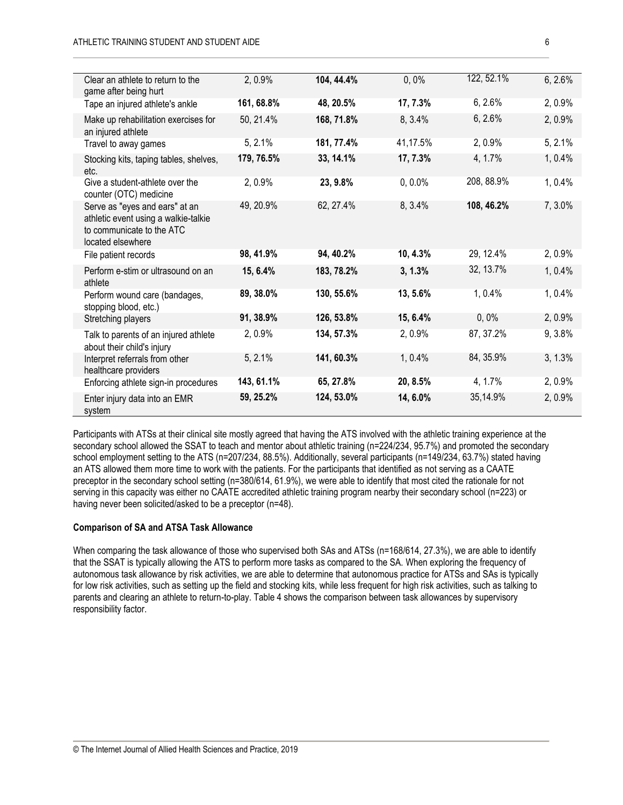| Clear an athlete to return to the<br>game after being hurt                                                               | 2, 0.9%    | 104, 44.4% | 0,0%       | 122, 52.1% | 6, 2.6% |
|--------------------------------------------------------------------------------------------------------------------------|------------|------------|------------|------------|---------|
| Tape an injured athlete's ankle                                                                                          | 161, 68.8% | 48, 20.5%  | 17, 7.3%   | 6, 2.6%    | 2, 0.9% |
| Make up rehabilitation exercises for<br>an injured athlete                                                               | 50, 21.4%  | 168, 71.8% | 8, 3.4%    | 6, 2.6%    | 2, 0.9% |
| Travel to away games                                                                                                     | 5, 2.1%    | 181, 77.4% | 41,17.5%   | 2, 0.9%    | 5, 2.1% |
| Stocking kits, taping tables, shelves,<br>etc.                                                                           | 179, 76.5% | 33, 14.1%  | 17, 7.3%   | 4, 1.7%    | 1, 0.4% |
| Give a student-athlete over the<br>counter (OTC) medicine                                                                | 2, 0.9%    | 23, 9.8%   | $0, 0.0\%$ | 208, 88.9% | 1, 0.4% |
| Serve as "eyes and ears" at an<br>athletic event using a walkie-talkie<br>to communicate to the ATC<br>located elsewhere | 49, 20.9%  | 62, 27.4%  | 8, 3.4%    | 108, 46.2% | 7, 3.0% |
| File patient records                                                                                                     | 98, 41.9%  | 94, 40.2%  | 10, 4.3%   | 29, 12.4%  | 2, 0.9% |
| Perform e-stim or ultrasound on an<br>athlete                                                                            | 15, 6.4%   | 183, 78.2% | 3, 1.3%    | 32, 13.7%  | 1, 0.4% |
| Perform wound care (bandages,<br>stopping blood, etc.)                                                                   | 89, 38.0%  | 130, 55.6% | 13, 5.6%   | 1, 0.4%    | 1,0.4%  |
| Stretching players                                                                                                       | 91, 38.9%  | 126, 53.8% | 15, 6.4%   | 0,0%       | 2, 0.9% |
| Talk to parents of an injured athlete<br>about their child's injury                                                      | 2, 0.9%    | 134, 57.3% | 2, 0.9%    | 87, 37.2%  | 9, 3.8% |
| Interpret referrals from other<br>healthcare providers                                                                   | 5, 2.1%    | 141, 60.3% | 1,0.4%     | 84, 35.9%  | 3, 1.3% |
| Enforcing athlete sign-in procedures                                                                                     | 143, 61.1% | 65, 27.8%  | 20, 8.5%   | 4, 1.7%    | 2, 0.9% |
| Enter injury data into an EMR<br>system                                                                                  | 59, 25.2%  | 124, 53.0% | 14, 6.0%   | 35,14.9%   | 2, 0.9% |

Participants with ATSs at their clinical site mostly agreed that having the ATS involved with the athletic training experience at the secondary school allowed the SSAT to teach and mentor about athletic training (n=224/234, 95.7%) and promoted the secondary school employment setting to the ATS (n=207/234, 88.5%). Additionally, several participants (n=149/234, 63.7%) stated having an ATS allowed them more time to work with the patients. For the participants that identified as not serving as a CAATE preceptor in the secondary school setting (n=380/614, 61.9%), we were able to identify that most cited the rationale for not serving in this capacity was either no CAATE accredited athletic training program nearby their secondary school (n=223) or having never been solicited/asked to be a preceptor (n=48).

#### **Comparison of SA and ATSA Task Allowance**

When comparing the task allowance of those who supervised both SAs and ATSs (n=168/614, 27.3%), we are able to identify that the SSAT is typically allowing the ATS to perform more tasks as compared to the SA. When exploring the frequency of autonomous task allowance by risk activities, we are able to determine that autonomous practice for ATSs and SAs is typically for low risk activities, such as setting up the field and stocking kits, while less frequent for high risk activities, such as talking to parents and clearing an athlete to return-to-play. Table 4 shows the comparison between task allowances by supervisory responsibility factor.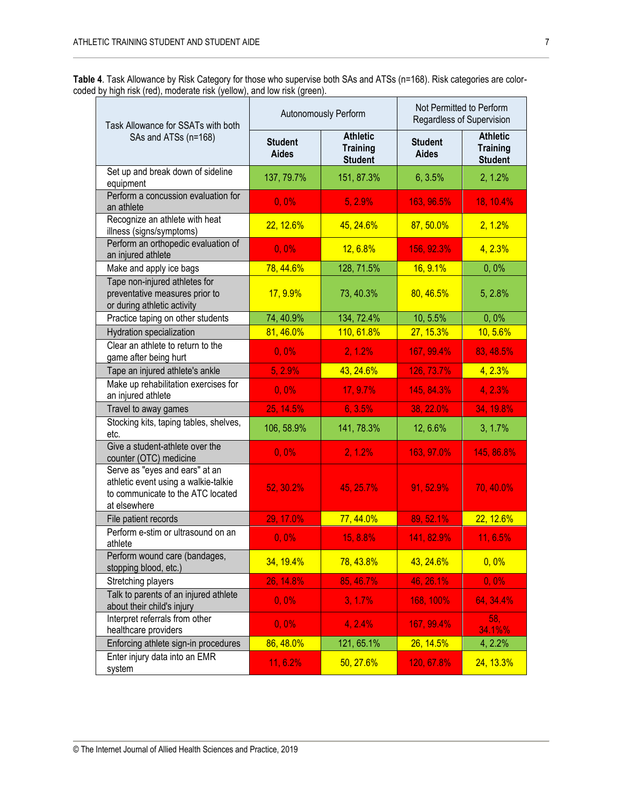|                                                                         | Table 4. Task Allowance by Risk Category for those who supervise both SAs and ATSs (n=168). Risk categories are color- |
|-------------------------------------------------------------------------|------------------------------------------------------------------------------------------------------------------------|
| coded by high risk (red), moderate risk (yellow), and low risk (green). |                                                                                                                        |

| Task Allowance for SSATs with both                                                                                          |                                | Autonomously Perform                                 | Not Permitted to Perform<br>Regardless of Supervision |                                                      |  |
|-----------------------------------------------------------------------------------------------------------------------------|--------------------------------|------------------------------------------------------|-------------------------------------------------------|------------------------------------------------------|--|
| SAs and ATSs (n=168)                                                                                                        | <b>Student</b><br><b>Aides</b> | <b>Athletic</b><br><b>Training</b><br><b>Student</b> | <b>Student</b><br><b>Aides</b>                        | <b>Athletic</b><br><b>Training</b><br><b>Student</b> |  |
| Set up and break down of sideline<br>equipment                                                                              | 137, 79.7%                     | 151, 87.3%                                           | 6, 3.5%                                               | 2, 1.2%                                              |  |
| Perform a concussion evaluation for<br>an athlete                                                                           | $0, 0\%$                       | 5, 2.9%                                              | 163, 96.5%                                            | 18, 10.4%                                            |  |
| Recognize an athlete with heat<br>illness (signs/symptoms)                                                                  | 22, 12.6%                      | 45, 24.6%                                            | 87,50.0%                                              | 2, 1.2%                                              |  |
| Perform an orthopedic evaluation of<br>an injured athlete                                                                   | $0, 0\%$                       | $12, 6.8\%$                                          | 156, 92.3%                                            | 4, 2.3%                                              |  |
| Make and apply ice bags                                                                                                     | 78, 44.6%                      | 128, 71.5%                                           | 16, 9.1%                                              | 0,0%                                                 |  |
| Tape non-injured athletes for<br>preventative measures prior to<br>or during athletic activity                              | 17, 9.9%                       | 73, 40.3%                                            | 80, 46.5%                                             | 5, 2.8%                                              |  |
| Practice taping on other students                                                                                           | 74, 40.9%                      | 134, 72.4%                                           | 10, 5.5%                                              | 0,0%                                                 |  |
| Hydration specialization                                                                                                    | 81,46.0%                       | 110, 61.8%                                           | 27, 15.3%                                             | 10,5.6%                                              |  |
| Clear an athlete to return to the<br>game after being hurt                                                                  | $0, 0\%$                       | 2, 1.2%                                              | 167, 99.4%                                            | 83, 48.5%                                            |  |
| Tape an injured athlete's ankle                                                                                             | 5, 2.9%                        | 43, 24.6%                                            | 126, 73.7%                                            | 4, 2.3%                                              |  |
| Make up rehabilitation exercises for<br>an injured athlete                                                                  | 0,0%                           | 17, 9.7%                                             | 145, 84.3%                                            | 4, 2.3%                                              |  |
| Travel to away games                                                                                                        | 25, 14.5%                      | 6, 3.5%                                              | 38, 22.0%                                             | 34, 19.8%                                            |  |
| Stocking kits, taping tables, shelves,<br>etc.                                                                              | 106, 58.9%                     | 141, 78.3%                                           | 12, 6.6%                                              | $3, 1.7\%$                                           |  |
| Give a student-athlete over the<br>counter (OTC) medicine                                                                   | $0, 0\%$                       | 2, 1.2%                                              | 163, 97.0%                                            | 145, 86.8%                                           |  |
| Serve as "eyes and ears" at an<br>athletic event using a walkie-talkie<br>to communicate to the ATC located<br>at elsewhere | 52, 30.2%                      | 45, 25.7%                                            | 91, 52.9%                                             | 70, 40.0%                                            |  |
| File patient records                                                                                                        | 29, 17.0%                      | 77, 44.0%                                            | 89, 52.1%                                             | 22, 12.6%                                            |  |
| Perform e-stim or ultrasound on an<br>athlete                                                                               | $0, 0\%$                       | 15, 8.8%                                             | 141, 82.9%                                            | 11, 6.5%                                             |  |
| Perform wound care (bandages,<br>stopping blood, etc.)                                                                      | 34, 19.4%                      | 78, 43.8%                                            | 43, 24.6%                                             | 0,0%                                                 |  |
| Stretching players                                                                                                          | 26, 14.8%                      | 85, 46.7%                                            | 46, 26.1%                                             | $0, 0\%$                                             |  |
| Talk to parents of an injured athlete<br>about their child's injury                                                         | $0, 0\%$                       | 3, 1.7%                                              | 168, 100%                                             | 64, 34.4%                                            |  |
| Interpret referrals from other<br>healthcare providers                                                                      | $0, 0\%$                       | 4, 2.4%                                              | 167, 99.4%                                            | 58,<br>34.1%%                                        |  |
| Enforcing athlete sign-in procedures                                                                                        | 86, 48.0%                      | 121, 65.1%                                           | 26, 14.5%                                             | 4, 2.2%                                              |  |
| Enter injury data into an EMR<br>system                                                                                     | 11, 6.2%                       | 50, 27.6%                                            | 120, 67.8%                                            | 24, 13.3%                                            |  |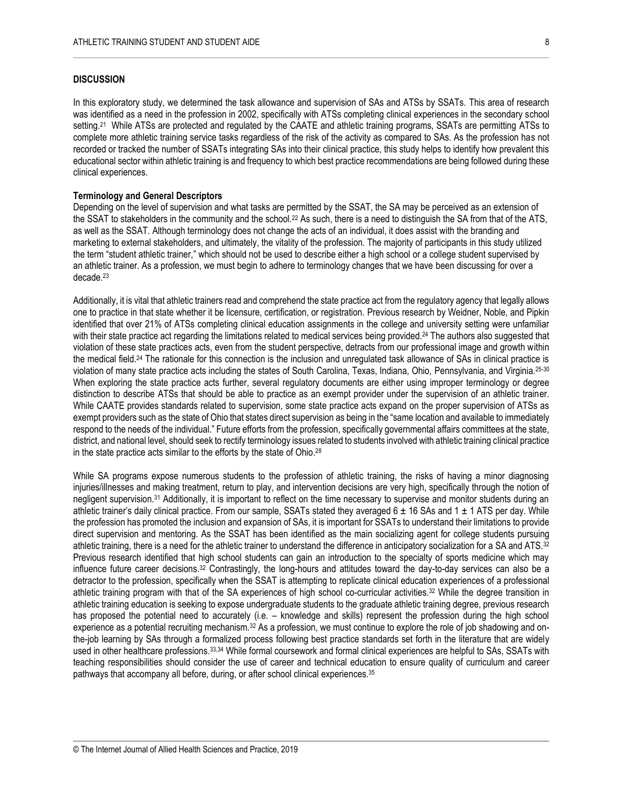#### **DISCUSSION**

In this exploratory study, we determined the task allowance and supervision of SAs and ATSs by SSATs. This area of research was identified as a need in the profession in 2002, specifically with ATSs completing clinical experiences in the secondary school setting.<sup>21</sup> While ATSs are protected and regulated by the CAATE and athletic training programs, SSATs are permitting ATSs to complete more athletic training service tasks regardless of the risk of the activity as compared to SAs. As the profession has not recorded or tracked the number of SSATs integrating SAs into their clinical practice, this study helps to identify how prevalent this educational sector within athletic training is and frequency to which best practice recommendations are being followed during these clinical experiences.

#### **Terminology and General Descriptors**

Depending on the level of supervision and what tasks are permitted by the SSAT, the SA may be perceived as an extension of the SSAT to stakeholders in the community and the school.<sup>22</sup> As such, there is a need to distinguish the SA from that of the ATS, as well as the SSAT. Although terminology does not change the acts of an individual, it does assist with the branding and marketing to external stakeholders, and ultimately, the vitality of the profession. The majority of participants in this study utilized the term "student athletic trainer," which should not be used to describe either a high school or a college student supervised by an athletic trainer. As a profession, we must begin to adhere to terminology changes that we have been discussing for over a decade.<sup>23</sup>

Additionally, it is vital that athletic trainers read and comprehend the state practice act from the regulatory agency that legally allows one to practice in that state whether it be licensure, certification, or registration. Previous research by Weidner, Noble, and Pipkin identified that over 21% of ATSs completing clinical education assignments in the college and university setting were unfamiliar with their state practice act regarding the limitations related to medical services being provided.<sup>24</sup> The authors also suggested that violation of these state practices acts, even from the student perspective, detracts from our professional image and growth within the medical field.<sup>24</sup> The rationale for this connection is the inclusion and unregulated task allowance of SAs in clinical practice is violation of many state practice acts including the states of South Carolina, Texas, Indiana, Ohio, Pennsylvania, and Virginia.25-30 When exploring the state practice acts further, several regulatory documents are either using improper terminology or degree distinction to describe ATSs that should be able to practice as an exempt provider under the supervision of an athletic trainer. While CAATE provides standards related to supervision, some state practice acts expand on the proper supervision of ATSs as exempt providers such as the state of Ohio that states direct supervision as being in the "same location and available to immediately respond to the needs of the individual." Future efforts from the profession, specifically governmental affairs committees at the state, district, and national level, should seek to rectify terminology issues related to students involved with athletic training clinical practice in the state practice acts similar to the efforts by the state of Ohio. 28

While SA programs expose numerous students to the profession of athletic training, the risks of having a minor diagnosing injuries/illnesses and making treatment, return to play, and intervention decisions are very high, specifically through the notion of negligent supervision.<sup>31</sup> Additionally, it is important to reflect on the time necessary to supervise and monitor students during an athletic trainer's daily clinical practice. From our sample, SSATs stated they averaged  $6 \pm 16$  SAs and  $1 \pm 1$  ATS per day. While the profession has promoted the inclusion and expansion of SAs, it is important for SSATs to understand their limitations to provide direct supervision and mentoring. As the SSAT has been identified as the main socializing agent for college students pursuing athletic training, there is a need for the athletic trainer to understand the difference in anticipatory socialization for a SA and ATS.<sup>32</sup> Previous research identified that high school students can gain an introduction to the specialty of sports medicine which may influence future career decisions.<sup>32</sup> Contrastingly, the long-hours and attitudes toward the day-to-day services can also be a detractor to the profession, specifically when the SSAT is attempting to replicate clinical education experiences of a professional athletic training program with that of the SA experiences of high school co-curricular activities.<sup>32</sup> While the degree transition in athletic training education is seeking to expose undergraduate students to the graduate athletic training degree, previous research has proposed the potential need to accurately (i.e. – knowledge and skills) represent the profession during the high school experience as a potential recruiting mechanism. $32$  As a profession, we must continue to explore the role of job shadowing and onthe-job learning by SAs through a formalized process following best practice standards set forth in the literature that are widely used in other healthcare professions.33,34 While formal coursework and formal clinical experiences are helpful to SAs, SSATs with teaching responsibilities should consider the use of career and technical education to ensure quality of curriculum and career pathways that accompany all before, during, or after school clinical experiences.35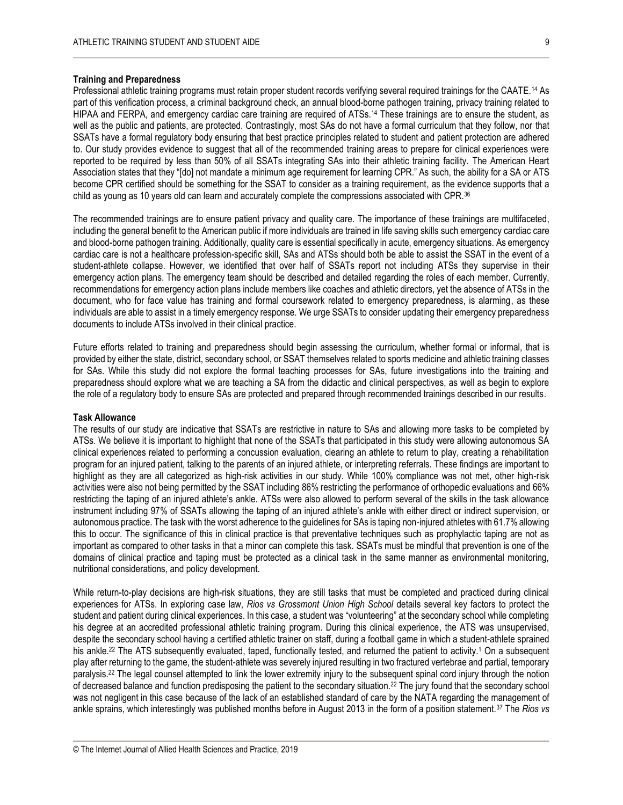#### **Training and Preparedness**

Professional athletic training programs must retain proper student records verifying several required trainings for the CAATE.<sup>14</sup> As part of this verification process, a criminal background check, an annual blood-borne pathogen training, privacy training related to HIPAA and FERPA, and emergency cardiac care training are required of ATSs.<sup>14</sup> These trainings are to ensure the student, as well as the public and patients, are protected. Contrastingly, most SAs do not have a formal curriculum that they follow, nor that SSATs have a formal regulatory body ensuring that best practice principles related to student and patient protection are adhered to. Our study provides evidence to suggest that all of the recommended training areas to prepare for clinical experiences were reported to be required by less than 50% of all SSATs integrating SAs into their athletic training facility. The American Heart Association states that they "[do] not mandate a minimum age requirement for learning CPR." As such, the ability for a SA or ATS become CPR certified should be something for the SSAT to consider as a training requirement, as the evidence supports that a child as young as 10 years old can learn and accurately complete the compressions associated with CPR.<sup>36</sup>

The recommended trainings are to ensure patient privacy and quality care. The importance of these trainings are multifaceted, including the general benefit to the American public if more individuals are trained in life saving skills such emergency cardiac care and blood-borne pathogen training. Additionally, quality care is essential specifically in acute, emergency situations. As emergency cardiac care is not a healthcare profession-specific skill, SAs and ATSs should both be able to assist the SSAT in the event of a student-athlete collapse. However, we identified that over half of SSATs report not including ATSs they supervise in their emergency action plans. The emergency team should be described and detailed regarding the roles of each member. Currently, recommendations for emergency action plans include members like coaches and athletic directors, yet the absence of ATSs in the document, who for face value has training and formal coursework related to emergency preparedness, is alarming, as these individuals are able to assist in a timely emergency response. We urge SSATs to consider updating their emergency preparedness documents to include ATSs involved in their clinical practice.

Future efforts related to training and preparedness should begin assessing the curriculum, whether formal or informal, that is provided by either the state, district, secondary school, or SSAT themselves related to sports medicine and athletic training classes for SAs. While this study did not explore the formal teaching processes for SAs, future investigations into the training and preparedness should explore what we are teaching a SA from the didactic and clinical perspectives, as well as begin to explore the role of a regulatory body to ensure SAs are protected and prepared through recommended trainings described in our results.

#### **Task Allowance**

The results of our study are indicative that SSATs are restrictive in nature to SAs and allowing more tasks to be completed by ATSs. We believe it is important to highlight that none of the SSATs that participated in this study were allowing autonomous SA clinical experiences related to performing a concussion evaluation, clearing an athlete to return to play, creating a rehabilitation program for an injured patient, talking to the parents of an injured athlete, or interpreting referrals. These findings are important to highlight as they are all categorized as high-risk activities in our study. While 100% compliance was not met, other high-risk activities were also not being permitted by the SSAT including 86% restricting the performance of orthopedic evaluations and 66% restricting the taping of an injured athlete's ankle. ATSs were also allowed to perform several of the skills in the task allowance instrument including 97% of SSATs allowing the taping of an injured athlete's ankle with either direct or indirect supervision, or autonomous practice. The task with the worst adherence to the guidelines for SAs is taping non-injured athletes with 61.7% allowing this to occur. The significance of this in clinical practice is that preventative techniques such as prophylactic taping are not as important as compared to other tasks in that a minor can complete this task. SSATs must be mindful that prevention is one of the domains of clinical practice and taping must be protected as a clinical task in the same manner as environmental monitoring, nutritional considerations, and policy development.

While return-to-play decisions are high-risk situations, they are still tasks that must be completed and practiced during clinical experiences for ATSs. In exploring case law, *Rios vs Grossmont Union High School* details several key factors to protect the student and patient during clinical experiences. In this case, a student was "volunteering" at the secondary school while completing his degree at an accredited professional athletic training program. During this clinical experience, the ATS was unsupervised, despite the secondary school having a certified athletic trainer on staff, during a football game in which a student-athlete sprained his ankle.<sup>22</sup> The ATS subsequently evaluated, taped, functionally tested, and returned the patient to activity.<sup>1</sup> On a subsequent play after returning to the game, the student-athlete was severely injured resulting in two fractured vertebrae and partial, temporary paralysis.<sup>22</sup> The legal counsel attempted to link the lower extremity injury to the subsequent spinal cord injury through the notion of decreased balance and function predisposing the patient to the secondary situation.<sup>22</sup> The jury found that the secondary school was not negligent in this case because of the lack of an established standard of care by the NATA regarding the management of ankle sprains, which interestingly was published months before in August 2013 in the form of a position statement.<sup>37</sup> The *Rios vs*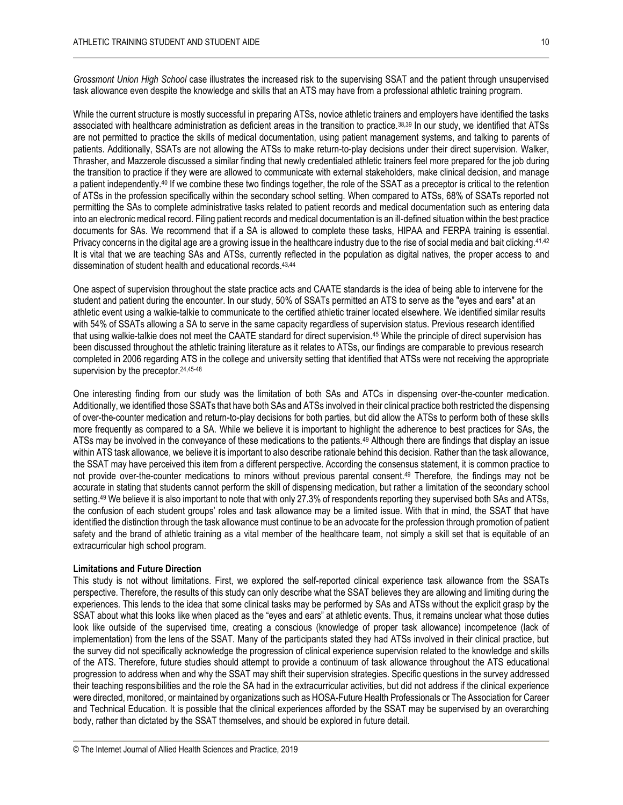*Grossmont Union High School* case illustrates the increased risk to the supervising SSAT and the patient through unsupervised task allowance even despite the knowledge and skills that an ATS may have from a professional athletic training program.

While the current structure is mostly successful in preparing ATSs, novice athletic trainers and employers have identified the tasks associated with healthcare administration as deficient areas in the transition to practice.38,39 In our study, we identified that ATSs are not permitted to practice the skills of medical documentation, using patient management systems, and talking to parents of patients. Additionally, SSATs are not allowing the ATSs to make return-to-play decisions under their direct supervision. Walker, Thrasher, and Mazzerole discussed a similar finding that newly credentialed athletic trainers feel more prepared for the job during the transition to practice if they were are allowed to communicate with external stakeholders, make clinical decision, and manage a patient independently.<sup>40</sup> If we combine these two findings together, the role of the SSAT as a preceptor is critical to the retention of ATSs in the profession specifically within the secondary school setting. When compared to ATSs, 68% of SSATs reported not permitting the SAs to complete administrative tasks related to patient records and medical documentation such as entering data into an electronic medical record. Filing patient records and medical documentation is an ill-defined situation within the best practice documents for SAs. We recommend that if a SA is allowed to complete these tasks, HIPAA and FERPA training is essential. Privacy concerns in the digital age are a growing issue in the healthcare industry due to the rise of social media and bait clicking.<sup>41,42</sup> It is vital that we are teaching SAs and ATSs, currently reflected in the population as digital natives, the proper access to and dissemination of student health and educational records. 43,44

One aspect of supervision throughout the state practice acts and CAATE standards is the idea of being able to intervene for the student and patient during the encounter. In our study, 50% of SSATs permitted an ATS to serve as the "eyes and ears" at an athletic event using a walkie-talkie to communicate to the certified athletic trainer located elsewhere. We identified similar results with 54% of SSATs allowing a SA to serve in the same capacity regardless of supervision status. Previous research identified that using walkie-talkie does not meet the CAATE standard for direct supervision.<sup>45</sup> While the principle of direct supervision has been discussed throughout the athletic training literature as it relates to ATSs, our findings are comparable to previous research completed in 2006 regarding ATS in the college and university setting that identified that ATSs were not receiving the appropriate supervision by the preceptor.<sup>24,45-48</sup>

One interesting finding from our study was the limitation of both SAs and ATCs in dispensing over-the-counter medication. Additionally, we identified those SSATs that have both SAs and ATSs involved in their clinical practice both restricted the dispensing of over-the-counter medication and return-to-play decisions for both parties, but did allow the ATSs to perform both of these skills more frequently as compared to a SA. While we believe it is important to highlight the adherence to best practices for SAs, the ATSs may be involved in the conveyance of these medications to the patients.<sup>49</sup> Although there are findings that display an issue within ATS task allowance, we believe it is important to also describe rationale behind this decision. Rather than the task allowance, the SSAT may have perceived this item from a different perspective. According the consensus statement, it is common practice to not provide over-the-counter medications to minors without previous parental consent.<sup>49</sup> Therefore, the findings may not be accurate in stating that students cannot perform the skill of dispensing medication, but rather a limitation of the secondary school setting.<sup>49</sup> We believe it is also important to note that with only 27.3% of respondents reporting they supervised both SAs and ATSs, the confusion of each student groups' roles and task allowance may be a limited issue. With that in mind, the SSAT that have identified the distinction through the task allowance must continue to be an advocate for the profession through promotion of patient safety and the brand of athletic training as a vital member of the healthcare team, not simply a skill set that is equitable of an extracurricular high school program.

#### **Limitations and Future Direction**

This study is not without limitations. First, we explored the self-reported clinical experience task allowance from the SSATs perspective. Therefore, the results of this study can only describe what the SSAT believes they are allowing and limiting during the experiences. This lends to the idea that some clinical tasks may be performed by SAs and ATSs without the explicit grasp by the SSAT about what this looks like when placed as the "eyes and ears" at athletic events. Thus, it remains unclear what those duties look like outside of the supervised time, creating a conscious (knowledge of proper task allowance) incompetence (lack of implementation) from the lens of the SSAT. Many of the participants stated they had ATSs involved in their clinical practice, but the survey did not specifically acknowledge the progression of clinical experience supervision related to the knowledge and skills of the ATS. Therefore, future studies should attempt to provide a continuum of task allowance throughout the ATS educational progression to address when and why the SSAT may shift their supervision strategies. Specific questions in the survey addressed their teaching responsibilities and the role the SA had in the extracurricular activities, but did not address if the clinical experience were directed, monitored, or maintained by organizations such as HOSA-Future Health Professionals or The Association for Career and Technical Education. It is possible that the clinical experiences afforded by the SSAT may be supervised by an overarching body, rather than dictated by the SSAT themselves, and should be explored in future detail.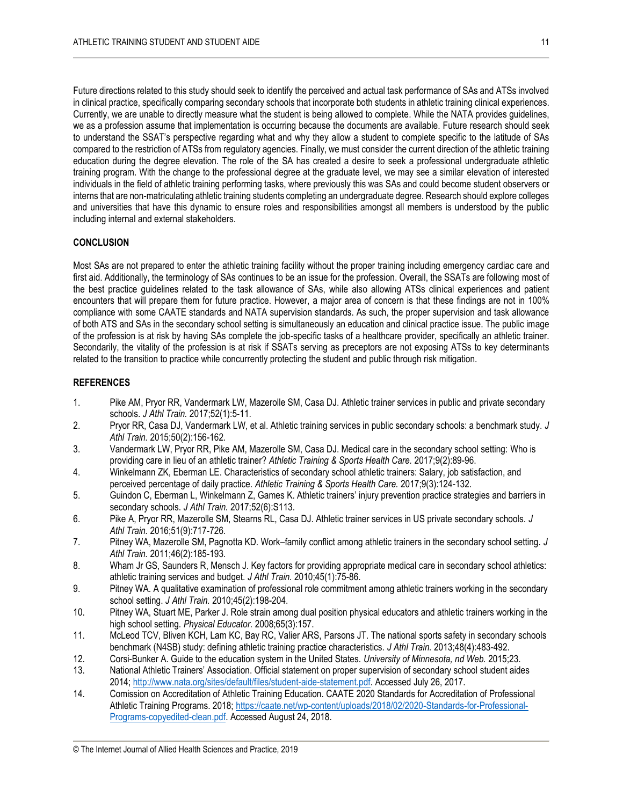Future directions related to this study should seek to identify the perceived and actual task performance of SAs and ATSs involved in clinical practice, specifically comparing secondary schools that incorporate both students in athletic training clinical experiences. Currently, we are unable to directly measure what the student is being allowed to complete. While the NATA provides guidelines, we as a profession assume that implementation is occurring because the documents are available. Future research should seek to understand the SSAT's perspective regarding what and why they allow a student to complete specific to the latitude of SAs compared to the restriction of ATSs from regulatory agencies. Finally, we must consider the current direction of the athletic training education during the degree elevation. The role of the SA has created a desire to seek a professional undergraduate athletic training program. With the change to the professional degree at the graduate level, we may see a similar elevation of interested individuals in the field of athletic training performing tasks, where previously this was SAs and could become student observers or interns that are non-matriculating athletic training students completing an undergraduate degree. Research should explore colleges and universities that have this dynamic to ensure roles and responsibilities amongst all members is understood by the public including internal and external stakeholders.

### **CONCLUSION**

Most SAs are not prepared to enter the athletic training facility without the proper training including emergency cardiac care and first aid. Additionally, the terminology of SAs continues to be an issue for the profession. Overall, the SSATs are following most of the best practice guidelines related to the task allowance of SAs, while also allowing ATSs clinical experiences and patient encounters that will prepare them for future practice. However, a major area of concern is that these findings are not in 100% compliance with some CAATE standards and NATA supervision standards. As such, the proper supervision and task allowance of both ATS and SAs in the secondary school setting is simultaneously an education and clinical practice issue. The public image of the profession is at risk by having SAs complete the job-specific tasks of a healthcare provider, specifically an athletic trainer. Secondarily, the vitality of the profession is at risk if SSATs serving as preceptors are not exposing ATSs to key determinants related to the transition to practice while concurrently protecting the student and public through risk mitigation.

### **REFERENCES**

- 1. Pike AM, Pryor RR, Vandermark LW, Mazerolle SM, Casa DJ. Athletic trainer services in public and private secondary schools. *J Athl Train.* 2017;52(1):5-11.
- 2. Pryor RR, Casa DJ, Vandermark LW, et al. Athletic training services in public secondary schools: a benchmark study. *J Athl Train.* 2015;50(2):156-162.
- 3. Vandermark LW, Pryor RR, Pike AM, Mazerolle SM, Casa DJ. Medical care in the secondary school setting: Who is providing care in lieu of an athletic trainer? *Athletic Training & Sports Health Care.* 2017;9(2):89-96.
- 4. Winkelmann ZK, Eberman LE. Characteristics of secondary school athletic trainers: Salary, job satisfaction, and perceived percentage of daily practice. *Athletic Training & Sports Health Care.* 2017;9(3):124-132.
- 5. Guindon C, Eberman L, Winkelmann Z, Games K. Athletic trainers' injury prevention practice strategies and barriers in secondary schools. *J Athl Train.* 2017;52(6):S113.
- 6. Pike A, Pryor RR, Mazerolle SM, Stearns RL, Casa DJ. Athletic trainer services in US private secondary schools. *J Athl Train.* 2016;51(9):717-726.
- 7. Pitney WA, Mazerolle SM, Pagnotta KD. Work–family conflict among athletic trainers in the secondary school setting. *J Athl Train.* 2011;46(2):185-193.
- 8. Wham Jr GS, Saunders R, Mensch J. Key factors for providing appropriate medical care in secondary school athletics: athletic training services and budget. *J Athl Train.* 2010;45(1):75-86.
- 9. Pitney WA. A qualitative examination of professional role commitment among athletic trainers working in the secondary school setting. *J Athl Train.* 2010;45(2):198-204.
- 10. Pitney WA, Stuart ME, Parker J. Role strain among dual position physical educators and athletic trainers working in the high school setting. *Physical Educator.* 2008;65(3):157.
- 11. McLeod TCV, Bliven KCH, Lam KC, Bay RC, Valier ARS, Parsons JT. The national sports safety in secondary schools benchmark (N4SB) study: defining athletic training practice characteristics. *J Athl Train.* 2013;48(4):483-492.
- 12. Corsi-Bunker A. Guide to the education system in the United States. *University of Minnesota, nd Web.* 2015;23.
- 13. National Athletic Trainers' Association. Official statement on proper supervision of secondary school student aides 2014; [http://www.nata.org/sites/default/files/student-aide-statement.pdf.](http://www.nata.org/sites/default/files/student-aide-statement.pdf) Accessed July 26, 2017.
- 14. Comission on Accreditation of Athletic Training Education. CAATE 2020 Standards for Accreditation of Professional Athletic Training Programs. 2018; [https://caate.net/wp-content/uploads/2018/02/2020-Standards-for-Professional-](https://caate.net/wp-content/uploads/2018/02/2020-Standards-for-Professional-Programs-copyedited-clean.pdf)[Programs-copyedited-clean.pdf.](https://caate.net/wp-content/uploads/2018/02/2020-Standards-for-Professional-Programs-copyedited-clean.pdf) Accessed August 24, 2018.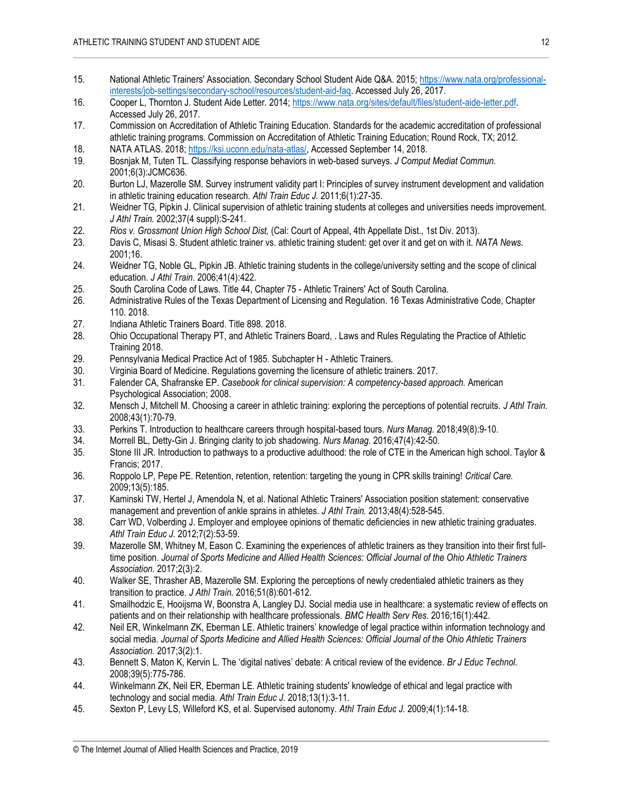- 15. National Athletic Trainers' Association. Secondary School Student Aide Q&A. 2015[; https://www.nata.org/professional](https://www.nata.org/professional-interests/job-settings/secondary-school/resources/student-aid-faq)[interests/job-settings/secondary-school/resources/student-aid-faq.](https://www.nata.org/professional-interests/job-settings/secondary-school/resources/student-aid-faq) Accessed July 26, 2017.
- 16. Cooper L, Thornton J. Student Aide Letter. 2014[; https://www.nata.org/sites/default/files/student-aide-letter.pdf.](https://www.nata.org/sites/default/files/student-aide-letter.pdf)  Accessed July 26, 2017.
- 17. Commission on Accreditation of Athletic Training Education. Standards for the academic accreditation of professional athletic training programs. Commission on Accreditation of Athletic Training Education; Round Rock, TX; 2012.
- 18. NATA ATLAS. 2018[; https://ksi.uconn.edu/nata-atlas/,](https://ksi.uconn.edu/nata-atlas/) Accessed September 14, 2018.
- 19. Bosnjak M, Tuten TL. Classifying response behaviors in web-based surveys. *J Comput Mediat Commun.*  2001;6(3):JCMC636.
- 20. Burton LJ, Mazerolle SM. Survey instrument validity part I: Principles of survey instrument development and validation in athletic training education research. *Athl Train Educ J.* 2011;6(1):27-35.
- 21. Weidner TG, Pipkin J. Clinical supervision of athletic training students at colleges and universities needs improvement. *J Athl Train.* 2002;37(4 suppl):S-241.
- 22. *Rios v. Grossmont Union High School Dist,* (Cal: Court of Appeal, 4th Appellate Dist., 1st Div. 2013).
- 23. Davis C, Misasi S. Student athletic trainer vs. athletic training student: get over it and get on with it. *NATA News.*  2001;16.
- 24. Weidner TG, Noble GL, Pipkin JB. Athletic training students in the college/university setting and the scope of clinical education. *J Athl Train.* 2006;41(4):422.
- 25. South Carolina Code of Laws. Title 44, Chapter 75 Athletic Trainers' Act of South Carolina.
- 26. Administrative Rules of the Texas Department of Licensing and Regulation. 16 Texas Administrative Code, Chapter 110. 2018.
- 27. Indiana Athletic Trainers Board. Title 898. 2018.
- 28. Ohio Occupational Therapy PT, and Athletic Trainers Board, . Laws and Rules Regulating the Practice of Athletic Training 2018.
- 29. Pennsylvania Medical Practice Act of 1985. Subchapter H Athletic Trainers.
- 30. Virginia Board of Medicine. Regulations governing the licensure of athletic trainers. 2017.
- 31. Falender CA, Shafranske EP. *Casebook for clinical supervision: A competency-based approach.* American Psychological Association; 2008.
- 32. Mensch J, Mitchell M. Choosing a career in athletic training: exploring the perceptions of potential recruits. *J Athl Train.*  2008;43(1):70-79.
- 33. Perkins T. Introduction to healthcare careers through hospital-based tours. *Nurs Manag.* 2018;49(8):9-10.
- 34. Morrell BL, Detty-Gin J. Bringing clarity to job shadowing. *Nurs Manag.* 2016;47(4):42-50.
- 35. Stone III JR. Introduction to pathways to a productive adulthood: the role of CTE in the American high school. Taylor & Francis; 2017.
- 36. Roppolo LP, Pepe PE. Retention, retention, retention: targeting the young in CPR skills training! *Critical Care.*  2009;13(5):185.
- 37. Kaminski TW, Hertel J, Amendola N, et al. National Athletic Trainers' Association position statement: conservative management and prevention of ankle sprains in athletes. *J Athl Train.* 2013;48(4):528-545.
- 38. Carr WD, Volberding J. Employer and employee opinions of thematic deficiencies in new athletic training graduates. *Athl Train Educ J.* 2012;7(2):53-59.
- 39. Mazerolle SM, Whitney M, Eason C. Examining the experiences of athletic trainers as they transition into their first fulltime position. *Journal of Sports Medicine and Allied Health Sciences: Official Journal of the Ohio Athletic Trainers Association.* 2017;2(3):2.
- 40. Walker SE, Thrasher AB, Mazerolle SM. Exploring the perceptions of newly credentialed athletic trainers as they transition to practice. *J Athl Train.* 2016;51(8):601-612.
- 41. Smailhodzic E, Hooijsma W, Boonstra A, Langley DJ. Social media use in healthcare: a systematic review of effects on patients and on their relationship with healthcare professionals. *BMC Health Serv Res.* 2016;16(1):442.
- 42. Neil ER, Winkelmann ZK, Eberman LE. Athletic trainers' knowledge of legal practice within information technology and social media. *Journal of Sports Medicine and Allied Health Sciences: Official Journal of the Ohio Athletic Trainers Association.* 2017;3(2):1.
- 43. Bennett S, Maton K, Kervin L. The 'digital natives' debate: A critical review of the evidence. *Br J Educ Technol.*  2008;39(5):775-786.
- 44. Winkelmann ZK, Neil ER, Eberman LE. Athletic training students' knowledge of ethical and legal practice with technology and social media. *Athl Train Educ J.* 2018;13(1):3-11.
- 45. Sexton P, Levy LS, Willeford KS, et al. Supervised autonomy. *Athl Train Educ J.* 2009;4(1):14-18.